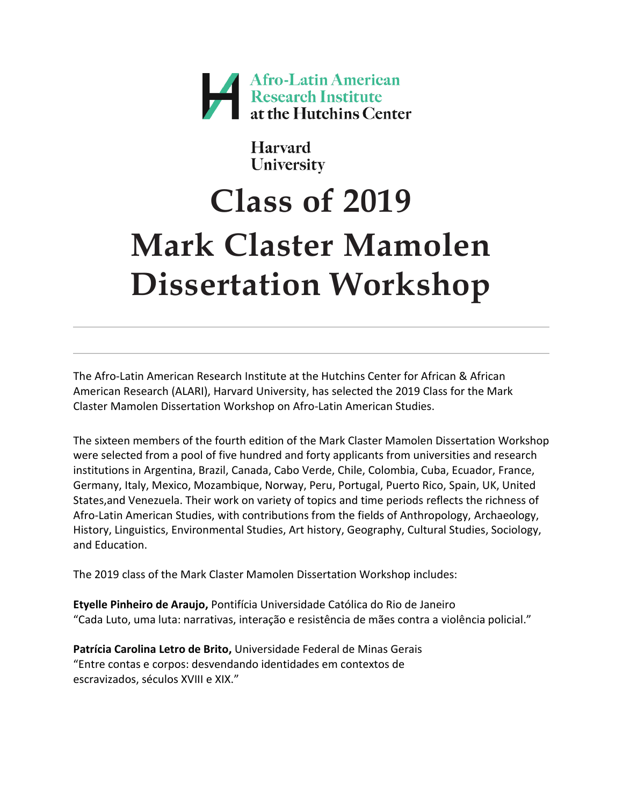

**Harvard** University

# **Class of 2019 Mark Claster Mamolen Dissertation Workshop**

The Afro-Latin American Research Institute at the Hutchins Center for African & African American Research (ALARI), Harvard University, has selected the 2019 Class for the Mark Claster Mamolen Dissertation Workshop on Afro-Latin American Studies.

The sixteen members of the fourth edition of the Mark Claster Mamolen Dissertation Workshop were selected from a pool of five hundred and forty applicants from universities and research institutions in Argentina, Brazil, Canada, Cabo Verde, Chile, Colombia, Cuba, Ecuador, France, Germany, Italy, Mexico, Mozambique, Norway, Peru, Portugal, Puerto Rico, Spain, UK, United States,and Venezuela. Their work on variety of topics and time periods reflects the richness of Afro-Latin American Studies, with contributions from the fields of Anthropology, Archaeology, History, Linguistics, Environmental Studies, Art history, Geography, Cultural Studies, Sociology, and Education.

The 2019 class of the Mark Claster Mamolen Dissertation Workshop includes:

**Etyelle Pinheiro de Araujo,** Pontifícia Universidade Católica do Rio de Janeiro "Cada Luto, uma luta: narrativas, interação e resistência de mães contra a violência policial."

**Patrícia Carolina Letro de Brito,** Universidade Federal de Minas Gerais "Entre contas e corpos: desvendando identidades em contextos de escravizados, séculos XVIII e XIX."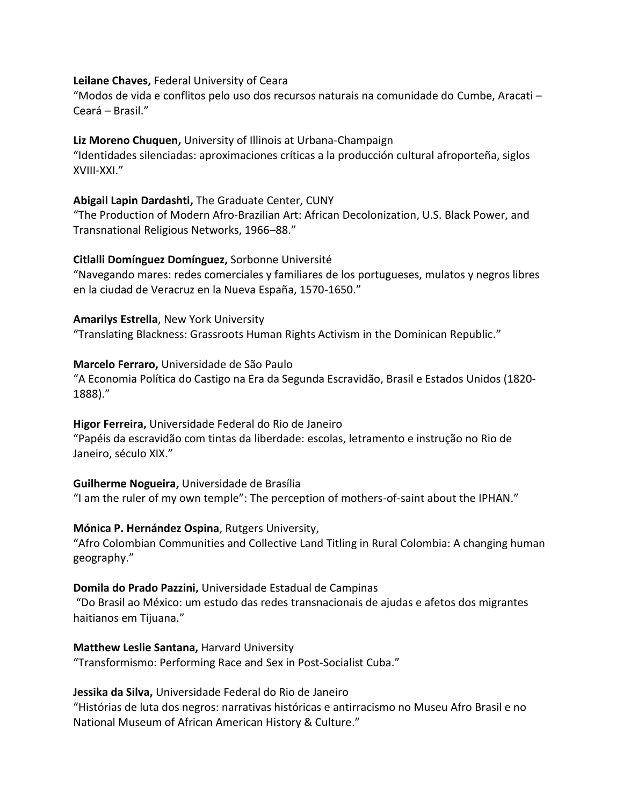## **Leilane Chaves,** Federal University of Ceara

"Modos de vida e conflitos pelo uso dos recursos naturais na comunidade do Cumbe, Aracati – Ceará – Brasil."

## **Liz Moreno Chuquen,** University of Illinois at Urbana-Champaign

"Identidades silenciadas: aproximaciones críticas a la producción cultural afroporteña, siglos XVIII-XXI."

## **Abigail Lapin Dardashti,** The Graduate Center, CUNY

"The Production of Modern Afro-Brazilian Art: African Decolonization, U.S. Black Power, and Transnational Religious Networks, 1966–88."

## **Citlalli Domínguez Domínguez,** Sorbonne Université

"Navegando mares: redes comerciales y familiares de los portugueses, mulatos y negros libres en la ciudad de Veracruz en la Nueva España, 1570-1650."

**Amarilys Estrella**, New York University "Translating Blackness: Grassroots Human Rights Activism in the Dominican Republic."

#### **Marcelo Ferraro,** Universidade de São Paulo

"A Economia Política do Castigo na Era da Segunda Escravidão, Brasil e Estados Unidos (1820- 1888)."

## **Higor Ferreira,** Universidade Federal do Rio de Janeiro

"Papéis da escravidão com tintas da liberdade: escolas, letramento e instrução no Rio de Janeiro, século XIX."

## **Guilherme Nogueira,** Universidade de Brasília

"I am the ruler of my own temple": The perception of mothers-of-saint about the IPHAN."

#### **Mónica P. Hernández Ospina**, Rutgers University,

"Afro Colombian Communities and Collective Land Titling in Rural Colombia: A changing human geography."

## **Domila do Prado Pazzini,** Universidade Estadual de Campinas

"Do Brasil ao México: um estudo das redes transnacionais de ajudas e afetos dos migrantes haitianos em Tijuana."

#### **Matthew Leslie Santana,** Harvard University

"Transformismo: Performing Race and Sex in Post-Socialist Cuba."

## **Jessika da Silva,** Universidade Federal do Rio de Janeiro

"Histórias de luta dos negros: narrativas históricas e antirracismo no Museu Afro Brasil e no National Museum of African American History & Culture."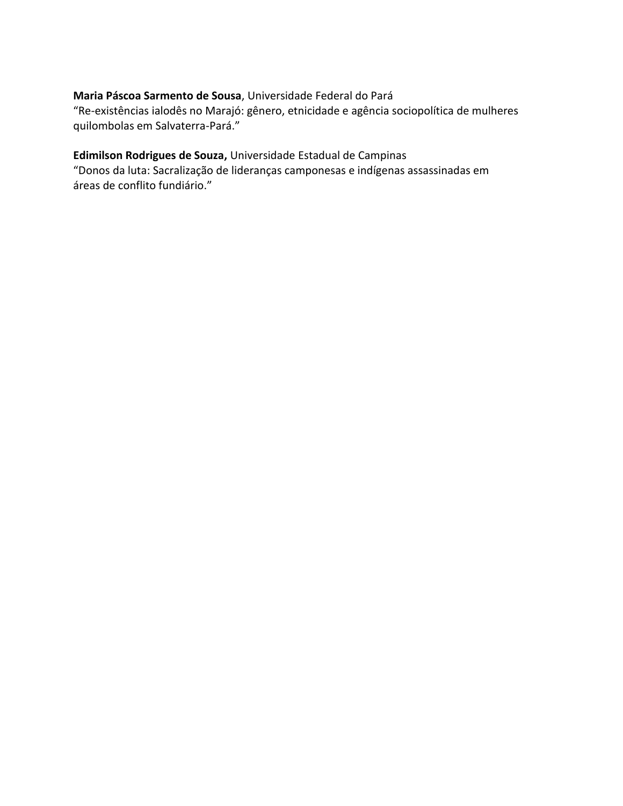# **Maria Páscoa Sarmento de Sousa**, Universidade Federal do Pará

"Re-existências ialodês no Marajó: gênero, etnicidade e agência sociopolítica de mulheres quilombolas em Salvaterra-Pará."

## **Edimilson Rodrigues de Souza,** Universidade Estadual de Campinas

"Donos da luta: Sacralização de lideranças camponesas e indígenas assassinadas em áreas de conflito fundiário."